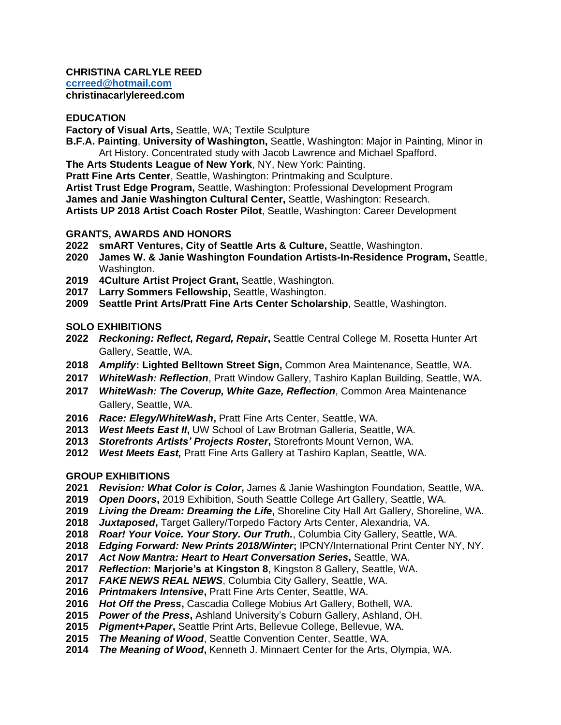#### **CHRISTINA CARLYLE REED [ccrreed@hotmail.com](mailto:ccrreed@hotmail.com) christinacarlylereed.com**

### **EDUCATION**

**Factory of Visual Arts,** Seattle, WA; Textile Sculpture

- **B.F.A. Painting**, **University of Washington,** Seattle, Washington: Major in Painting, Minor in Art History. Concentrated study with Jacob Lawrence and Michael Spafford.
- **The Arts Students League of New York**, NY, New York: Painting.
- **Pratt Fine Arts Center**, Seattle, Washington: Printmaking and Sculpture.

**Artist Trust Edge Program,** Seattle, Washington: Professional Development Program **James and Janie Washington Cultural Center,** Seattle, Washington: Research. **Artists UP 2018 Artist Coach Roster Pilot**, Seattle, Washington: Career Development

# **GRANTS, AWARDS AND HONORS**

- **smART Ventures, City of Seattle Arts & Culture,** Seattle, Washington.
- **James W. & Janie Washington Foundation Artists-In-Residence Program,** Seattle, Washington.
- **4Culture Artist Project Grant,** Seattle, Washington.
- **Larry Sommers Fellowship,** Seattle, Washington.
- **Seattle Print Arts/Pratt Fine Arts Center Scholarship**, Seattle, Washington.

# **SOLO EXHIBITIONS**

- *Reckoning: Reflect, Regard, Repair***,** Seattle Central College M. Rosetta Hunter Art Gallery, Seattle, WA.
- *Amplify***: Lighted Belltown Street Sign,** Common Area Maintenance, Seattle, WA.
- *WhiteWash: Reflection*, Pratt Window Gallery, Tashiro Kaplan Building, Seattle, WA.
- *WhiteWash: The Coverup, White Gaze, Reflection*, Common Area Maintenance Gallery, Seattle, WA.
- *Race: Elegy/WhiteWash***,** Pratt Fine Arts Center, Seattle, WA.
- *West Meets East II***,** UW School of Law Brotman Galleria, Seattle, WA.
- *Storefronts Artists' Projects Roster***,** Storefronts Mount Vernon, WA.
- *West Meets East,* Pratt Fine Arts Gallery at Tashiro Kaplan, Seattle, WA.

# **GROUP EXHIBITIONS**

- *Revision: What Color is Color***,** James & Janie Washington Foundation, Seattle, WA.
- *Open Doors***,** 2019 Exhibition, South Seattle College Art Gallery, Seattle, WA.
- *Living the Dream: Dreaming the Life***,** Shoreline City Hall Art Gallery, Shoreline, WA.
- *Juxtaposed***,** Target Gallery/Torpedo Factory Arts Center, Alexandria, VA.
- *Roar! Your Voice. Your Story. Our Truth.*, Columbia City Gallery, Seattle, WA.
- *Edging Forward: New Prints 2018/Winter***;** IPCNY/International Print Center NY, NY.
- *Act Now Mantra: Heart to Heart Conversation Series***,** Seattle, WA.
- *Reflection***: Marjorie's at Kingston 8**, Kingston 8 Gallery, Seattle, WA.
- *FAKE NEWS REAL NEWS*, Columbia City Gallery, Seattle, WA.
- *Printmakers Intensive***,** Pratt Fine Arts Center, Seattle, WA.
- *Hot Off the Press***,** Cascadia College Mobius Art Gallery, Bothell, WA.
- *Power of the Press***,** Ashland University's Coburn Gallery, Ashland, OH.
- *Pigment+Paper***,** Seattle Print Arts, Bellevue College, Bellevue, WA.
- *The Meaning of Wood*, Seattle Convention Center, Seattle, WA.
- *The Meaning of Wood***,** Kenneth J. Minnaert Center for the Arts, Olympia, WA.